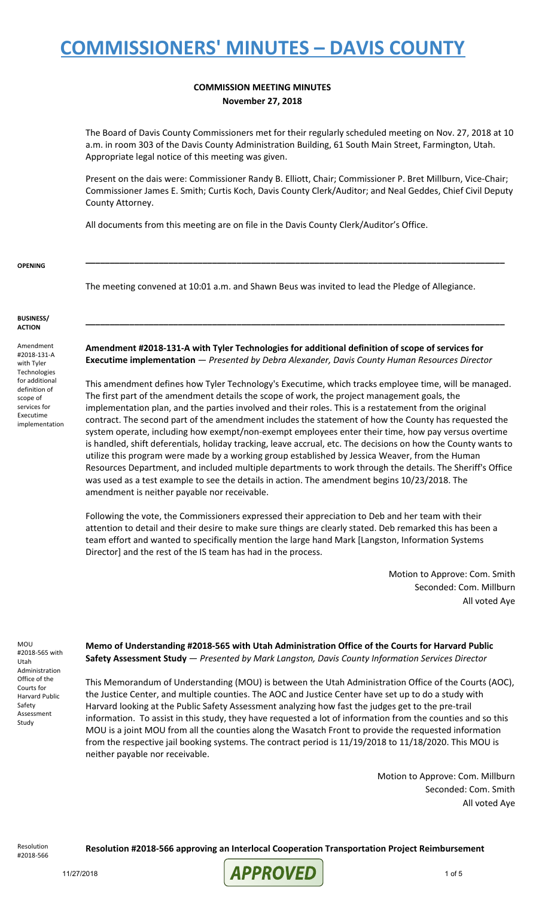#### **COMMISSION MEETING MINUTES November 27, 2018**

The Board of Davis County Commissioners met for their regularly scheduled meeting on Nov. 27, 2018 at 10 a.m. in room 303 of the Davis County Administration Building, 61 South Main Street, Farmington, Utah. Appropriate legal notice of this meeting was given.

Present on the dais were: Commissioner Randy B. Elliott, Chair; Commissioner P. Bret Millburn, Vice-Chair; Commissioner James E. Smith; Curtis Koch, Davis County Clerk/Auditor; and Neal Geddes, Chief Civil Deputy County Attorney.

**\_\_\_\_\_\_\_\_\_\_\_\_\_\_\_\_\_\_\_\_\_\_\_\_\_\_\_\_\_\_\_\_\_\_\_\_\_\_\_\_\_\_\_\_\_\_\_\_\_\_\_\_\_\_\_\_\_\_\_\_\_\_\_\_\_\_\_\_\_\_\_\_\_\_\_\_\_\_\_\_\_\_\_\_\_\_**

**\_\_\_\_\_\_\_\_\_\_\_\_\_\_\_\_\_\_\_\_\_\_\_\_\_\_\_\_\_\_\_\_\_\_\_\_\_\_\_\_\_\_\_\_\_\_\_\_\_\_\_\_\_\_\_\_\_\_\_\_\_\_\_\_\_\_\_\_\_\_\_\_\_\_\_\_\_\_\_\_\_\_\_\_\_\_**

All documents from this meeting are on file in the Davis County Clerk/Auditor's Office.

**OPENING**

The meeting convened at 10:01 a.m. and Shawn Beus was invited to lead the Pledge of Allegiance.

**BUSINESS/ ACTION**

Amendment #2018-131-A with Tyler **Technologies** for additional definition of scope of services for Executime implementation **Amendment #2018-131-A with Tyler Technologies for additional definition of scope of services for Executime implementation** — *Presented by Debra Alexander, Davis County Human Resources Director*

This amendment defines how Tyler Technology's Executime, which tracks employee time, will be managed. The first part of the amendment details the scope of work, the project management goals, the implementation plan, and the parties involved and their roles. This is a restatement from the original contract. The second part of the amendment includes the statement of how the County has requested the system operate, including how exempt/non-exempt employees enter their time, how pay versus overtime is handled, shift deferentials, holiday tracking, leave accrual, etc. The decisions on how the County wants to utilize this program were made by a working group established by Jessica Weaver, from the Human Resources Department, and included multiple departments to work through the details. The Sheriff's Office was used as a test example to see the details in action. The amendment begins 10/23/2018. The amendment is neither payable nor receivable.

Following the vote, the Commissioners expressed their appreciation to Deb and her team with their attention to detail and their desire to make sure things are clearly stated. Deb remarked this has been a team effort and wanted to specifically mention the large hand Mark [Langston, Information Systems Director] and the rest of the IS team has had in the process.

> Motion to Approve: Com. Smith Seconded: Com. Millburn All voted Aye

MOU #2018-565 with Utah Administration Office of the Courts for Harvard Public Safety Assessment Study

**Memo of Understanding #2018-565 with Utah Administration Office of the Courts for Harvard Public Safety Assessment Study** — *Presented by Mark Langston, Davis County Information Services Director*

This Memorandum of Understanding (MOU) is between the Utah Administration Office of the Courts (AOC), the Justice Center, and multiple counties. The AOC and Justice Center have set up to do a study with Harvard looking at the Public Safety Assessment analyzing how fast the judges get to the pre-trail information. To assist in this study, they have requested a lot of information from the counties and so this MOU is a joint MOU from all the counties along the Wasatch Front to provide the requested information from the respective jail booking systems. The contract period is 11/19/2018 to 11/18/2020. This MOU is neither payable nor receivable.

> Motion to Approve: Com. Millburn Seconded: Com. Smith All voted Aye

Resolution #2018-566

**Resolution #2018-566 approving an Interlocal Cooperation Transportation Project Reimbursement**

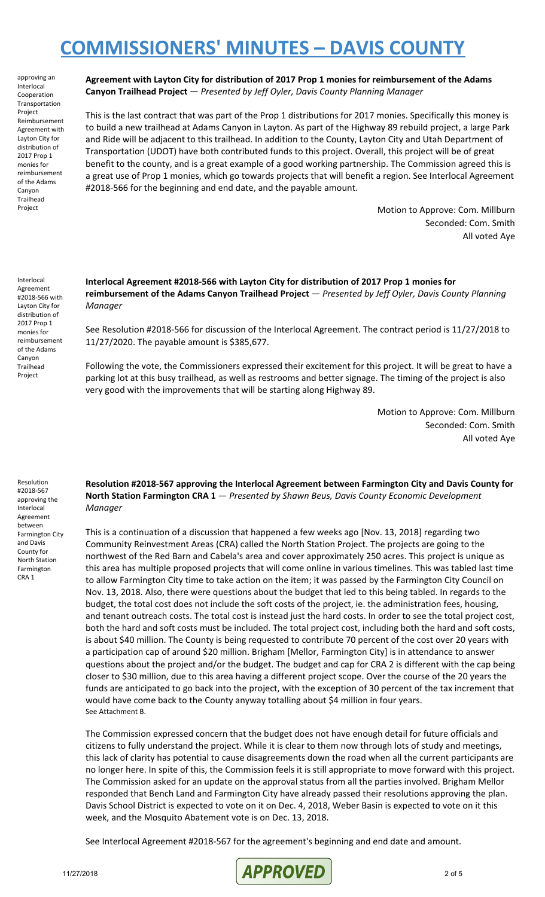approving an Interlocal Cooperation Transportation Project Reimbursement Agreement with Layton City for distribution of 2017 Prop 1 monies for reimbursement of the Adams Canyon **Trailhead** Project

**Agreement with Layton City for distribution of 2017 Prop 1 monies for reimbursement of the Adams Canyon Trailhead Project** — *Presented by Jeff Oyler, Davis County Planning Manager*

This is the last contract that was part of the Prop 1 distributions for 2017 monies. Specifically this money is to build a new trailhead at Adams Canyon in Layton. As part of the Highway 89 rebuild project, a large Park and Ride will be adjacent to this trailhead. In addition to the County, Layton City and Utah Department of Transportation (UDOT) have both contributed funds to this project. Overall, this project will be of great benefit to the county, and is a great example of a good working partnership. The Commission agreed this is a great use of Prop 1 monies, which go towards projects that will benefit a region. See Interlocal Agreement #2018-566 for the beginning and end date, and the payable amount.

> Motion to Approve: Com. Millburn Seconded: Com. Smith All voted Aye

Interlocal Agreement #2018-566 with Layton City for distribution of 2017 Prop 1 monies for reimbursement of the Adams Canyon Trailhead Project

**Interlocal Agreement #2018-566 with Layton City for distribution of 2017 Prop 1 monies for reimbursement of the Adams Canyon Trailhead Project** — *Presented by Jeff Oyler, Davis County Planning Manager*

See Resolution #2018-566 for discussion of the Interlocal Agreement. The contract period is 11/27/2018 to 11/27/2020. The payable amount is \$385,677.

Following the vote, the Commissioners expressed their excitement for this project. It will be great to have a parking lot at this busy trailhead, as well as restrooms and better signage. The timing of the project is also very good with the improvements that will be starting along Highway 89.

> Motion to Approve: Com. Millburn Seconded: Com. Smith All voted Aye

Resolution #2018-567 approving the Interlocal Agreement between Farmington City and Davis County for North Station Farmington CRA 1

**Resolution #2018-567 approving the Interlocal Agreement between Farmington City and Davis County for North Station Farmington CRA 1** — *Presented by Shawn Beus, Davis County Economic Development Manager*

This is a continuation of a discussion that happened a few weeks ago [Nov. 13, 2018] regarding two Community Reinvestment Areas (CRA) called the North Station Project. The projects are going to the northwest of the Red Barn and Cabela's area and cover approximately 250 acres. This project is unique as this area has multiple proposed projects that will come online in various timelines. This was tabled last time to allow Farmington City time to take action on the item; it was passed by the Farmington City Council on Nov. 13, 2018. Also, there were questions about the budget that led to this being tabled. In regards to the budget, the total cost does not include the soft costs of the project, ie. the administration fees, housing, and tenant outreach costs. The total cost is instead just the hard costs. In order to see the total project cost, both the hard and soft costs must be included. The total project cost, including both the hard and soft costs, is about \$40 million. The County is being requested to contribute 70 percent of the cost over 20 years with a participation cap of around \$20 million. Brigham [Mellor, Farmington City] is in attendance to answer questions about the project and/or the budget. The budget and cap for CRA 2 is different with the cap being closer to \$30 million, due to this area having a different project scope. Over the course of the 20 years the funds are anticipated to go back into the project, with the exception of 30 percent of the tax increment that would have come back to the County anyway totalling about \$4 million in four years. See Attachment B.

The Commission expressed concern that the budget does not have enough detail for future officials and citizens to fully understand the project. While it is clear to them now through lots of study and meetings, this lack of clarity has potential to cause disagreements down the road when all the current participants are no longer here. In spite of this, the Commission feels it is still appropriate to move forward with this project. The Commission asked for an update on the approval status from all the parties involved. Brigham Mellor responded that Bench Land and Farmington City have already passed their resolutions approving the plan. Davis School District is expected to vote on it on Dec. 4, 2018, Weber Basin is expected to vote on it this week, and the Mosquito Abatement vote is on Dec. 13, 2018.

See Interlocal Agreement #2018-567 for the agreement's beginning and end date and amount.

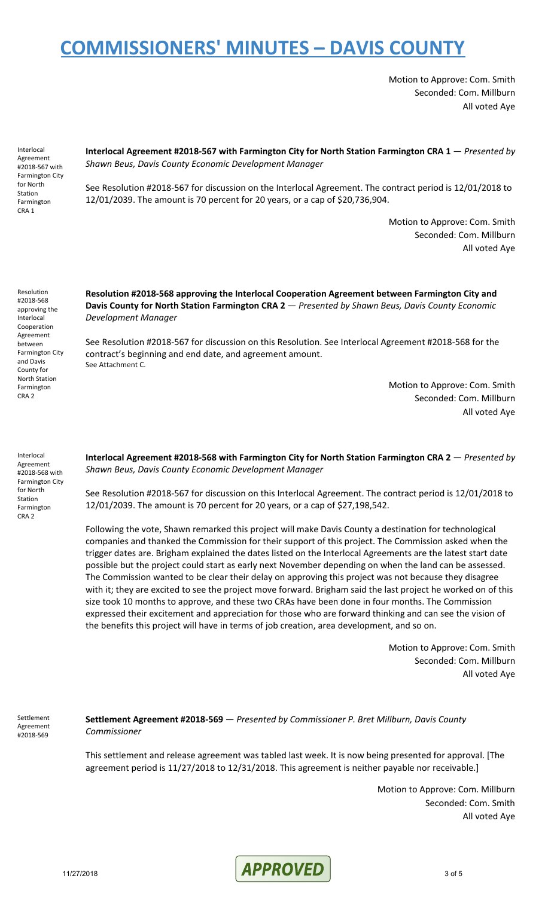Motion to Approve: Com. Smith Seconded: Com. Millburn All voted Aye

Interlocal Agreement #2018-567 with Farmington City for North Station Farmington CRA 1

**Interlocal Agreement #2018-567 with Farmington City for North Station Farmington CRA 1** — *Presented by Shawn Beus, Davis County Economic Development Manager*

See Resolution #2018-567 for discussion on the Interlocal Agreement. The contract period is 12/01/2018 to 12/01/2039. The amount is 70 percent for 20 years, or a cap of \$20,736,904.

> Motion to Approve: Com. Smith Seconded: Com. Millburn All voted Aye

Resolution #2018-568 approving the Interlocal Cooperation Agreement between Farmington City and Davis County for North Station Farmington CRA 2

**Resolution #2018-568 approving the Interlocal Cooperation Agreement between Farmington City and Davis County for North Station Farmington CRA 2** — *Presented by Shawn Beus, Davis County Economic Development Manager*

See Resolution #2018-567 for discussion on this Resolution. See Interlocal Agreement #2018-568 for the contract's beginning and end date, and agreement amount. See Attachment C.

> Motion to Approve: Com. Smith Seconded: Com. Millburn All voted Aye

Interlocal Agreement #2018-568 with Farmington City for North Station Farmington CRA 2

**Interlocal Agreement #2018-568 with Farmington City for North Station Farmington CRA 2** — *Presented by Shawn Beus, Davis County Economic Development Manager*

See Resolution #2018-567 for discussion on this Interlocal Agreement. The contract period is 12/01/2018 to 12/01/2039. The amount is 70 percent for 20 years, or a cap of \$27,198,542.

Following the vote, Shawn remarked this project will make Davis County a destination for technological companies and thanked the Commission for their support of this project. The Commission asked when the trigger dates are. Brigham explained the dates listed on the Interlocal Agreements are the latest start date possible but the project could start as early next November depending on when the land can be assessed. The Commission wanted to be clear their delay on approving this project was not because they disagree with it; they are excited to see the project move forward. Brigham said the last project he worked on of this size took 10 months to approve, and these two CRAs have been done in four months. The Commission expressed their excitement and appreciation for those who are forward thinking and can see the vision of the benefits this project will have in terms of job creation, area development, and so on.

> Motion to Approve: Com. Smith Seconded: Com. Millburn All voted Aye

Settlement Agreement #2018-569

**Settlement Agreement #2018-569** — *Presented by Commissioner P. Bret Millburn, Davis County Commissioner*

This settlement and release agreement was tabled last week. It is now being presented for approval. [The agreement period is 11/27/2018 to 12/31/2018. This agreement is neither payable nor receivable.]

> Motion to Approve: Com. Millburn Seconded: Com. Smith All voted Aye

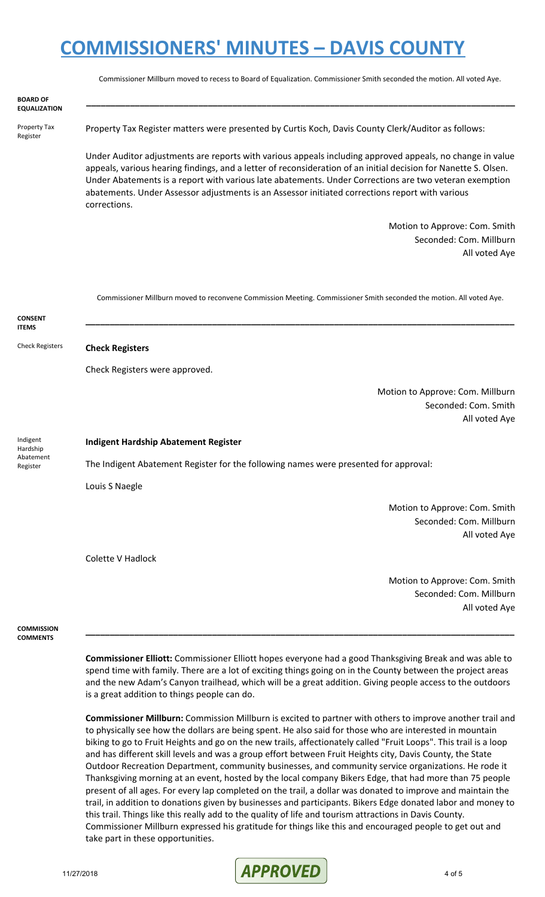|                                               | Commissioner Millburn moved to recess to Board of Equalization. Commissioner Smith seconded the motion. All voted Aye.                                                                                                                                                                                                                                                                                                                                    |
|-----------------------------------------------|-----------------------------------------------------------------------------------------------------------------------------------------------------------------------------------------------------------------------------------------------------------------------------------------------------------------------------------------------------------------------------------------------------------------------------------------------------------|
| <b>BOARD OF</b><br><b>EQUALIZATION</b>        |                                                                                                                                                                                                                                                                                                                                                                                                                                                           |
| Property Tax<br>Register                      | Property Tax Register matters were presented by Curtis Koch, Davis County Clerk/Auditor as follows:                                                                                                                                                                                                                                                                                                                                                       |
|                                               | Under Auditor adjustments are reports with various appeals including approved appeals, no change in value<br>appeals, various hearing findings, and a letter of reconsideration of an initial decision for Nanette S. Olsen.<br>Under Abatements is a report with various late abatements. Under Corrections are two veteran exemption<br>abatements. Under Assessor adjustments is an Assessor initiated corrections report with various<br>corrections. |
|                                               | Motion to Approve: Com. Smith                                                                                                                                                                                                                                                                                                                                                                                                                             |
|                                               | Seconded: Com. Millburn                                                                                                                                                                                                                                                                                                                                                                                                                                   |
|                                               | All voted Aye                                                                                                                                                                                                                                                                                                                                                                                                                                             |
|                                               | Commissioner Millburn moved to reconvene Commission Meeting. Commissioner Smith seconded the motion. All voted Aye.                                                                                                                                                                                                                                                                                                                                       |
| <b>CONSENT</b><br><b>ITEMS</b>                |                                                                                                                                                                                                                                                                                                                                                                                                                                                           |
| <b>Check Registers</b>                        | <b>Check Registers</b>                                                                                                                                                                                                                                                                                                                                                                                                                                    |
|                                               | Check Registers were approved.                                                                                                                                                                                                                                                                                                                                                                                                                            |
|                                               | Motion to Approve: Com. Millburn                                                                                                                                                                                                                                                                                                                                                                                                                          |
|                                               | Seconded: Com. Smith                                                                                                                                                                                                                                                                                                                                                                                                                                      |
|                                               | All voted Aye                                                                                                                                                                                                                                                                                                                                                                                                                                             |
| Indigent<br>Hardship<br>Abatement<br>Register | <b>Indigent Hardship Abatement Register</b>                                                                                                                                                                                                                                                                                                                                                                                                               |
|                                               | The Indigent Abatement Register for the following names were presented for approval:                                                                                                                                                                                                                                                                                                                                                                      |
|                                               | Louis S Naegle                                                                                                                                                                                                                                                                                                                                                                                                                                            |
|                                               | Motion to Approve: Com. Smith                                                                                                                                                                                                                                                                                                                                                                                                                             |
|                                               | Seconded: Com. Millburn                                                                                                                                                                                                                                                                                                                                                                                                                                   |
|                                               | All voted Aye                                                                                                                                                                                                                                                                                                                                                                                                                                             |
|                                               | <b>Colette V Hadlock</b>                                                                                                                                                                                                                                                                                                                                                                                                                                  |
|                                               | Motion to Approve: Com. Smith                                                                                                                                                                                                                                                                                                                                                                                                                             |
|                                               | Seconded: Com. Millburn                                                                                                                                                                                                                                                                                                                                                                                                                                   |
|                                               | All voted Aye                                                                                                                                                                                                                                                                                                                                                                                                                                             |

**COMMISSION COMMENTS**

> **Commissioner Elliott:** Commissioner Elliott hopes everyone had a good Thanksgiving Break and was able to spend time with family. There are a lot of exciting things going on in the County between the project areas and the new Adam's Canyon trailhead, which will be a great addition. Giving people access to the outdoors is a great addition to things people can do.

> **\_\_\_\_\_\_\_\_\_\_\_\_\_\_\_\_\_\_\_\_\_\_\_\_\_\_\_\_\_\_\_\_\_\_\_\_\_\_\_\_\_\_\_\_\_\_\_\_\_\_\_\_\_\_\_\_\_\_\_\_\_\_\_\_\_\_\_\_\_\_\_\_\_\_\_\_\_\_\_\_\_\_\_\_\_\_\_\_**

**Commissioner Millburn:** Commission Millburn is excited to partner with others to improve another trail and to physically see how the dollars are being spent. He also said for those who are interested in mountain biking to go to Fruit Heights and go on the new trails, affectionately called "Fruit Loops". This trail is a loop and has different skill levels and was a group effort between Fruit Heights city, Davis County, the State Outdoor Recreation Department, community businesses, and community service organizations. He rode it Thanksgiving morning at an event, hosted by the local company Bikers Edge, that had more than 75 people present of all ages. For every lap completed on the trail, a dollar was donated to improve and maintain the trail, in addition to donations given by businesses and participants. Bikers Edge donated labor and money to this trail. Things like this really add to the quality of life and tourism attractions in Davis County. Commissioner Millburn expressed his gratitude for things like this and encouraged people to get out and take part in these opportunities.